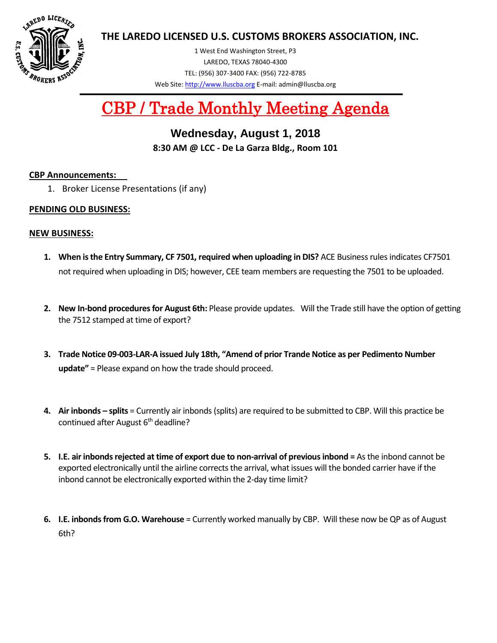

**THE LAREDO LICENSED U.S. CUSTOMS BROKERS ASSOCIATION, INC.**

1 West End Washington Street, P3 LAREDO, TEXAS 78040-4300 TEL: (956) 307-3400 FAX: (956) 722-8785 Web Site[: http://www.lluscba.org](http://www.lluscba.org/) E-mail: admin@lluscba.org

# CBP / Trade Monthly Meeting Agenda

# **Wednesday, August 1, 2018 8:30 AM @ LCC - De La Garza Bldg., Room 101**

#### **CBP Announcements:**

1. Broker License Presentations (if any)

#### **PENDING OLD BUSINESS:**

#### **NEW BUSINESS:**

- **1. When is the Entry Summary, CF 7501, required when uploading in DIS?** ACE Business rules indicates CF7501 not required when uploading in DIS; however, CEE team members are requesting the 7501 to be uploaded.
- **2. New In-bond procedures for August 6th:** Please provide updates. Will the Trade still have the option of getting the 7512 stamped at time of export?
- **3. Trade Notice 09-003-LAR-A issued July 18th, "Amend of prior Trande Notice as per Pedimento Number update"** = Please expand on how the trade should proceed.
- **4. Air inbonds – splits** = Currently air inbonds (splits) are required to be submitted to CBP. Will this practice be continued after August 6<sup>th</sup> deadline?
- **5. I.E. air inbonds rejected at time of export due to non-arrival of previous inbond =** As the inbond cannot be exported electronically until the airline corrects the arrival, what issues will the bonded carrier have if the inbond cannot be electronically exported within the 2-day time limit?
- **6. I.E. inbonds from G.O. Warehouse** = Currently worked manually by CBP. Will these now be QP as of August 6th?